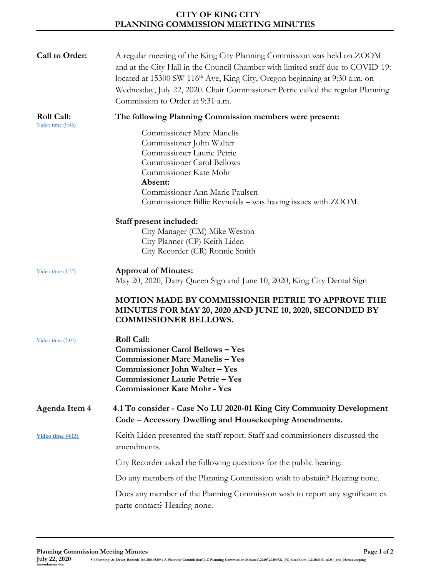## **CITY OF KING CITY PLANNING COMMISSION MEETING MINUTES**

| Call to Order:                    | A regular meeting of the King City Planning Commission was held on ZOOM<br>and at the City Hall in the Council Chamber with limited staff due to COVID-19:<br>located at 15300 SW 116 <sup>th</sup> Ave, King City, Oregon beginning at 9:30 a.m. on<br>Wednesday, July 22, 2020. Chair Commissioner Petrie called the regular Planning<br>Commission to Order at 9:31 a.m. |
|-----------------------------------|-----------------------------------------------------------------------------------------------------------------------------------------------------------------------------------------------------------------------------------------------------------------------------------------------------------------------------------------------------------------------------|
| Roll Call:<br>Video time $(0:46)$ | The following Planning Commission members were present:                                                                                                                                                                                                                                                                                                                     |
|                                   | <b>Commissioner Marc Manelis</b><br>Commissioner John Walter<br>Commissioner Laurie Petrie<br><b>Commissioner Carol Bellows</b><br>Commissioner Kate Mohr<br>Absent:<br>Commissioner Ann Marie Paulsen<br>Commissioner Billie Reynolds – was having issues with ZOOM.                                                                                                       |
|                                   | Staff present included:                                                                                                                                                                                                                                                                                                                                                     |
|                                   | City Manager (CM) Mike Weston                                                                                                                                                                                                                                                                                                                                               |
|                                   | City Planner (CP) Keith Liden                                                                                                                                                                                                                                                                                                                                               |
|                                   | City Recorder (CR) Ronnie Smith                                                                                                                                                                                                                                                                                                                                             |
| Video time (1:57)                 | <b>Approval of Minutes:</b><br>May 20, 2020, Dairy Queen Sign and June 10, 2020, King City Dental Sign                                                                                                                                                                                                                                                                      |
|                                   | MOTION MADE BY COMMISSIONER PETRIE TO APPROVE THE<br>MINUTES FOR MAY 20, 2020 AND JUNE 10, 2020, SECONDED BY<br><b>COMMISSIONER BELLOWS.</b>                                                                                                                                                                                                                                |
| Video time (3:01)                 | <b>Roll Call:</b><br><b>Commissioner Carol Bellows - Yes</b><br><b>Commissioner Marc Manelis - Yes</b><br>Commissioner John Walter - Yes<br>Commissioner Laurie Petrie - Yes<br><b>Commissioner Kate Mohr - Yes</b>                                                                                                                                                         |
| Agenda Item 4                     | 4.1 To consider - Case No LU 2020-01 King City Community Development<br>Code - Accessory Dwelling and Housekeeping Amendments.                                                                                                                                                                                                                                              |
| Video time (4:13)                 | Keith Liden presented the staff report. Staff and commissioners discussed the<br>amendments.                                                                                                                                                                                                                                                                                |
|                                   | City Recorder asked the following questions for the public hearing:                                                                                                                                                                                                                                                                                                         |
|                                   | Do any members of the Planning Commission wish to abstain? Hearing none.                                                                                                                                                                                                                                                                                                    |
|                                   | Does any member of the Planning Commission wish to report any significant ex-<br>parte contact? Hearing none.                                                                                                                                                                                                                                                               |

**Planning Commission Meeting Minutes Page 1 of 2**

**July 22, 2020 S:\Planning\_&\_Devet\_Records 166-200-0320\4.A Planning Commission\3.C Planning Commission Minutes\2020\20200722\_PC\_CaseNum\_LU2020-01-ADU\_and\_Housekeeping Amendments.**<br>July 22, 2020